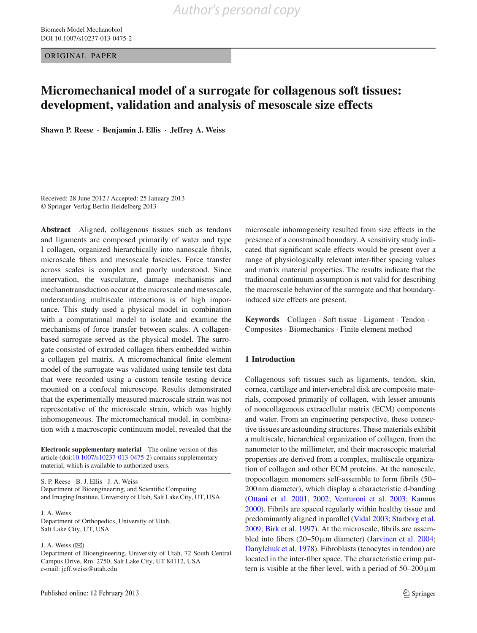ORIGINAL PAPER

# **Micromechanical model of a surrogate for collagenous soft tissues: development, validation and analysis of mesoscale size effects**

**Shawn P. Reese · Benjamin J. Ellis · Jeffrey A. Weiss**

Received: 28 June 2012 / Accepted: 25 January 2013 © Springer-Verlag Berlin Heidelberg 2013

**Abstract** Aligned, collagenous tissues such as tendons and ligaments are composed primarily of water and type I collagen, organized hierarchically into nanoscale fibrils, microscale fibers and mesoscale fascicles. Force transfer across scales is complex and poorly understood. Since innervation, the vasculature, damage mechanisms and mechanotransduction occur at the microscale and mesoscale, understanding multiscale interactions is of high importance. This study used a physical model in combination with a computational model to isolate and examine the mechanisms of force transfer between scales. A collagenbased surrogate served as the physical model. The surrogate consisted of extruded collagen fibers embedded within a collagen gel matrix. A micromechanical finite element model of the surrogate was validated using tensile test data that were recorded using a custom tensile testing device mounted on a confocal microscope. Results demonstrated that the experimentally measured macroscale strain was not representative of the microscale strain, which was highly inhomogeneous. The micromechanical model, in combination with a macroscopic continuum model, revealed that the

**Electronic supplementary material** The online version of this article (doi[:10.1007/s10237-013-0475-2\)](http://dx.doi.org/10.1007/s10237-013-0475-2) contains supplementary material, which is available to authorized users.

S. P. Reese · B. J. Ellis · J. A. Weiss Department of Bioengineering, and Scientific Computing and Imaging Institute, University of Utah, Salt Lake City, UT, USA

J. A. Weiss Department of Orthopedics, University of Utah, Salt Lake City, UT, USA

# J. A. Weiss  $(\boxtimes)$

Department of Bioengineering, University of Utah, 72 South Central Campus Drive, Rm. 2750, Salt Lake City, UT 84112, USA e-mail: jeff.weiss@utah.edu

microscale inhomogeneity resulted from size effects in the presence of a constrained boundary. A sensitivity study indicated that significant scale effects would be present over a range of physiologically relevant inter-fiber spacing values and matrix material properties. The results indicate that the traditional continuum assumption is not valid for describing the macroscale behavior of the surrogate and that boundaryinduced size effects are present.

**Keywords** Collagen · Soft tissue · Ligament · Tendon · Composites · Biomechanics · Finite element method

# **1 Introduction**

Collagenous soft tissues such as ligaments, tendon, skin, cornea, cartilage and intervertebral disk are composite materials, composed primarily of collagen, with lesser amounts of noncollagenous extracellular matrix (ECM) components and water. From an engineering perspective, these connective tissues are astounding structures. These materials exhibit a multiscale, hierarchical organization of collagen, from the nanometer to the millimeter, and their macroscopic material properties are derived from a complex, multiscale organization of collagen and other ECM proteins. At the nanoscale, tropocollagen monomers self-assemble to form fibrils (50– 200 nm diameter), which display a characteristic d-banding [\(Ottani et al. 2001](#page-9-0), [2002;](#page-8-0) [Venturoni et al. 2003;](#page-9-1) [Kannus](#page-8-1) [2000](#page-8-1)). Fibrils are spaced regularly within healthy tissue and predominantly aligned in parallel [\(Vidal 2003](#page-9-2); [Starborg et al.](#page-9-3) [2009](#page-9-3); [Birk et al. 1997](#page-8-2)). At the microscale, fibrils are assembled into fibers  $(20-50 \,\mu \text{m}$  diameter) [\(Jarvinen et al. 2004](#page-8-3); [Danylchuk et al. 1978\)](#page-8-4). Fibroblasts (tenocytes in tendon) are located in the inter-fiber space. The characteristic crimp pattern is visible at the fiber level, with a period of  $50-200 \,\mu m$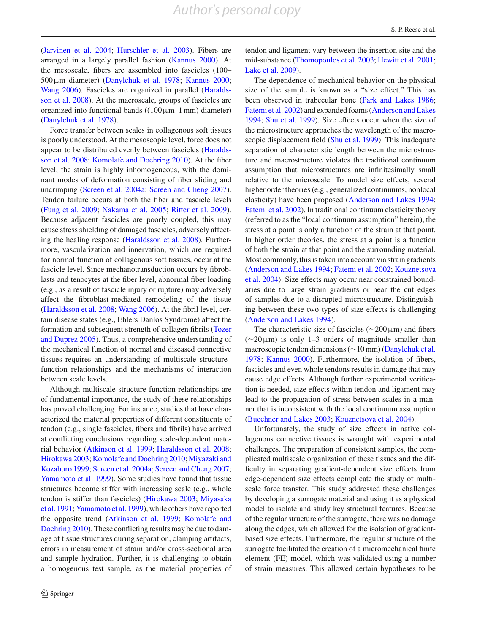[\(Jarvinen et al. 2004](#page-8-3); [Hurschler et al. 2003\)](#page-8-5). Fibers are arranged in a largely parallel fashion [\(Kannus 2000\)](#page-8-1). At the mesoscale, fibers are assembled into fascicles (100–  $500 \mu m$  diameter) [\(Danylchuk et al. 1978;](#page-8-4) [Kannus 2000](#page-8-1); [Wang 2006](#page-9-4)[\).](#page-8-6) [Fascicles](#page-8-6) [are](#page-8-6) [organized](#page-8-6) [in](#page-8-6) [parallel](#page-8-6) [\(](#page-8-6)Haraldsson et al. [2008\)](#page-8-6). At the macroscale, groups of fascicles are organized into functional bands  $((100)\mu m-1)$  mm diameter) [\(Danylchuk et al. 1978](#page-8-4)).

Force transfer between scales in collagenous soft tissues is poorly understood. At the mesoscopic level, force does not appear t[o](#page-8-6) [be](#page-8-6) [distributed](#page-8-6) [evenly](#page-8-6) [between](#page-8-6) [fascicles](#page-8-6) [\(](#page-8-6)Haraldsson et al. [2008;](#page-8-6) [Komolafe and Doehring 2010\)](#page-8-7). At the fiber level, the strain is highly inhomogeneous, with the dominant modes of deformation consisting of fiber sliding and uncrimping [\(Screen et al. 2004a;](#page-9-5) [Screen and Cheng 2007](#page-9-6)). Tendon failure occurs at both the fiber and fascicle levels [\(Fung et al. 2009;](#page-8-8) [Nakama et al. 2005;](#page-8-9) [Ritter et al. 2009](#page-9-7)). Because adjacent fascicles are poorly coupled, this may cause stress shielding of damaged fascicles, adversely affecting the healing response [\(Haraldsson et al. 2008\)](#page-8-6). Furthermore, vascularization and innervation, which are required for normal function of collagenous soft tissues, occur at the fascicle level. Since mechanotransduction occurs by fibroblasts and tenocytes at the fiber level, abnormal fiber loading (e.g., as a result of fascicle injury or rupture) may adversely affect the fibroblast-mediated remodeling of the tissue [\(Haraldsson et al. 2008;](#page-8-6) [Wang 2006](#page-9-4)). At the fibril level, certain disease states (e.g., Ehlers Danlos Syndrome) affect the formation [and](#page-9-8) [subsequent](#page-9-8) [strength](#page-9-8) [of](#page-9-8) [collagen](#page-9-8) [fibrils](#page-9-8) [\(](#page-9-8)Tozer and Duprez [2005\)](#page-9-8). Thus, a comprehensive understanding of the mechanical function of normal and diseased connective tissues requires an understanding of multiscale structure– function relationships and the mechanisms of interaction between scale levels.

Although multiscale structure-function relationships are of fundamental importance, the study of these relationships has proved challenging. For instance, studies that have characterized the material properties of different constituents of tendon (e.g., single fascicles, fibers and fibrils) have arrived at conflicting conclusions regarding scale-dependent material behavior [\(Atkinson et al. 1999](#page-8-10); [Haraldsson et al. 2008](#page-8-6); [Hirokawa 2003](#page-8-11); [Komolafe and Doehring 2010](#page-8-7)[;](#page-8-12) Miyazaki and Kozaburo [1999](#page-8-12); [Screen et al. 2004a](#page-9-5); [Screen and Cheng 2007](#page-9-6); [Yamamoto et al. 1999\)](#page-9-9). Some studies have found that tissue structures become stiffer with increasing scale (e.g., whole tend[on](#page-8-13) [is](#page-8-13) [stiffer](#page-8-13) [than](#page-8-13) [fascicles\)](#page-8-13) [\(Hirokawa 2003](#page-8-11)[;](#page-8-13) Miyasaka et al. [1991;](#page-8-13) [Yamamoto et al. 1999](#page-9-9)), while others have reported the oppo[site](#page-8-7) [trend](#page-8-7) [\(Atkinson et al. 1999](#page-8-10)[;](#page-8-7) Komolafe and Doehring [2010](#page-8-7)). These conflicting results may be due to damage of tissue structures during separation, clamping artifacts, errors in measurement of strain and/or cross-sectional area and sample hydration. Further, it is challenging to obtain a homogenous test sample, as the material properties of

tendon and ligament vary between the insertion site and the mid-substance [\(Thomopoulos et al. 2003](#page-9-10); [Hewitt et al. 2001](#page-8-14); [Lake et al. 2009](#page-8-15)).

The dependence of mechanical behavior on the physical size of the sample is known as a "size effect." This has been observed in trabecular bone [\(Park and Lakes 1986](#page-9-11); [Fatemi et al. 2002\)](#page-8-16) and expanded foams [\(Anderson and Lakes](#page-8-17) [1994](#page-8-17); [Shu et al. 1999\)](#page-9-12). Size effects occur when the size of the microstructure approaches the wavelength of the macro-scopic displacement field [\(Shu et al. 1999\)](#page-9-12). This inadequate separation of characteristic length between the microstructure and macrostructure violates the traditional continuum assumption that microstructures are infinitesimally small relative to the microscale. To model size effects, several higher order theories (e.g., generalized continuums, nonlocal elasticity) have been proposed [\(Anderson and Lakes 1994](#page-8-17); [Fatemi et al. 2002\)](#page-8-16). In traditional continuum elasticity theory (referred to as the "local continuum assumption" herein), the stress at a point is only a function of the strain at that point. In higher order theories, the stress at a point is a function of both the strain at that point and the surrounding material. Most commonly, this is taken into account via strain gradients [\(Anderson and Lakes 1994;](#page-8-17) [Fatemi et al. 2002](#page-8-16); Kouznetsova et al. [2004\)](#page-8-18). Size effects may occur near constrained boundaries due to large strain gradients or near the cut edges of samples due to a disrupted microstructure. Distinguishing between these two types of size effects is challenging [\(Anderson and Lakes 1994\)](#page-8-17).

The characteristic size of fascicles ( $\sim$ 200µm) and fibers (∼20µm) is only 1–3 orders of magnitude smaller than macroscopic tendon dimensions (∼10 mm) [\(Danylchuk et al.](#page-8-4) [1978](#page-8-4); [Kannus 2000](#page-8-1)). Furthermore, the isolation of fibers, fascicles and even whole tendons results in damage that may cause edge effects. Although further experimental verification is needed, size effects within tendon and ligament may lead to the propagation of stress between scales in a manner that is inconsistent with the local continuum assumption [\(Buechner and Lakes 2003](#page-8-19); [Kouznetsova et al. 2004\)](#page-8-18).

Unfortunately, the study of size effects in native collagenous connective tissues is wrought with experimental challenges. The preparation of consistent samples, the complicated multiscale organization of these tissues and the difficulty in separating gradient-dependent size effects from edge-dependent size effects complicate the study of multiscale force transfer. This study addressed these challenges by developing a surrogate material and using it as a physical model to isolate and study key structural features. Because of the regular structure of the surrogate, there was no damage along the edges, which allowed for the isolation of gradientbased size effects. Furthermore, the regular structure of the surrogate facilitated the creation of a micromechanical finite element (FE) model, which was validated using a number of strain measures. This allowed certain hypotheses to be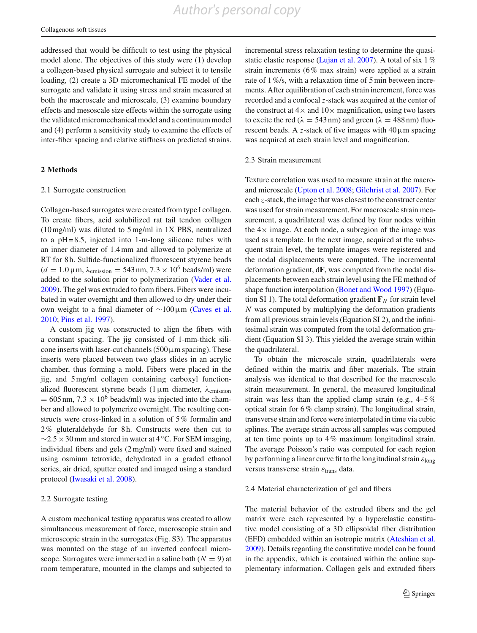addressed that would be difficult to test using the physical model alone. The objectives of this study were (1) develop a collagen-based physical surrogate and subject it to tensile loading, (2) create a 3D micromechanical FE model of the surrogate and validate it using stress and strain measured at both the macroscale and microscale, (3) examine boundary effects and mesoscale size effects within the surrogate using the validated micromechanical model and a continuum model and (4) perform a sensitivity study to examine the effects of inter-fiber spacing and relative stiffness on predicted strains.

## **2 Methods**

#### 2.1 Surrogate construction

Collagen-based surrogates were created from type I collagen. To create fibers, acid solubilized rat tail tendon collagen (10 mg/ml) was diluted to 5 mg/ml in 1X PBS, neutralized to a  $pH = 8.5$ , injected into 1-m-long silicone tubes with an inner diameter of 1.4 mm and allowed to polymerize at RT for 8 h. Sulfide-functionalized fluorescent styrene beads  $(d = 1.0 \,\mu\text{m}, \lambda_{\text{emission}} = 543 \,\text{nm}, 7.3 \times 10^6 \text{ beads/ml})$  were added to the solution prior to polymerization [\(Vader et al.](#page-9-13) [2009\)](#page-9-13). The gel was extruded to form fibers. Fibers were incubated in water overnight and then allowed to dry under their own weight to a final diameter of ∼100µm [\(Caves et al.](#page-8-20) [2010;](#page-8-20) [Pins et al. 1997\)](#page-9-14).

A custom jig was constructed to align the fibers with a constant spacing. The jig consisted of 1-mm-thick silicone inserts with laser-cut channels  $(500 \,\mu m)$  spacing). These inserts were placed between two glass slides in an acrylic chamber, thus forming a mold. Fibers were placed in the jig, and 5 mg/ml collagen containing carboxyl functionalized fluorescent styrene beads  $(1 \mu m)$  diameter,  $\lambda$ <sub>emission</sub>  $= 605$  nm,  $7.3 \times 10^6$  beads/ml) was injected into the chamber and allowed to polymerize overnight. The resulting constructs were cross-linked in a solution of 5% formalin and 2% gluteraldehyde for 8h. Constructs were then cut to  $\sim$ 2.5 × 30 mm and stored in water at 4 °C. For SEM imaging, individual fibers and gels (2 mg/ml) were fixed and stained using osmium tetroxide, dehydrated in a graded ethanol series, air dried, sputter coated and imaged using a standard protocol [\(Iwasaki et al. 2008](#page-8-21)).

#### 2.2 Surrogate testing

A custom mechanical testing apparatus was created to allow simultaneous measurement of force, macroscopic strain and microscopic strain in the surrogates (Fig. S3). The apparatus was mounted on the stage of an inverted confocal microscope. Surrogates were immersed in a saline bath  $(N = 9)$  at room temperature, mounted in the clamps and subjected to incremental stress relaxation testing to determine the quasi-static elastic response [\(Lujan et al. 2007](#page-8-22)). A total of six 1% strain increments (6% max strain) were applied at a strain rate of 1%/s, with a relaxation time of 5 min between increments. After equilibration of each strain increment, force was recorded and a confocal *z*-stack was acquired at the center of the construct at  $4\times$  and  $10\times$  magnification, using two lasers to excite the red ( $\lambda = 543 \text{ nm}$ ) and green ( $\lambda = 488 \text{ nm}$ ) fluorescent beads. A *z*-stack of five images with  $40 \mu m$  spacing was acquired at each strain level and magnification.

#### 2.3 Strain measurement

Texture correlation was used to measure strain at the macroand microscale [\(Upton et al. 2008;](#page-9-15) [Gilchrist et al. 2007\)](#page-8-23). For each *z*-stack, the image that was closest to the construct center was used for strain measurement. For macroscale strain measurement, a quadrilateral was defined by four nodes within the  $4\times$  image. At each node, a subregion of the image was used as a template. In the next image, acquired at the subsequent strain level, the template images were registered and the nodal displacements were computed. The incremental deformation gradient, d**F**, was computed from the nodal displacements between each strain level using the FE method of shape function interpolation [\(Bonet and Wood 1997\)](#page-8-24) (Equation SI 1). The total deformation gradient  $\mathbf{F}_N$  for strain level *N* was computed by multiplying the deformation gradients from all previous strain levels (Equation SI 2), and the infinitesimal strain was computed from the total deformation gradient (Equation SI 3). This yielded the average strain within the quadrilateral.

To obtain the microscale strain, quadrilaterals were defined within the matrix and fiber materials. The strain analysis was identical to that described for the macroscale strain measurement. In general, the measured longitudinal strain was less than the applied clamp strain (e.g.,  $4-5\%$ ) optical strain for 6% clamp strain). The longitudinal strain, transverse strain and force were interpolated in time via cubic splines. The average strain across all samples was computed at ten time points up to 4% maximum longitudinal strain. The average Poisson's ratio was computed for each region by performing a linear curve fit to the longitudinal strain  $\varepsilon_{\text{long}}$ versus transverse strain  $\varepsilon$ <sub>trans</sub> data.

## 2.4 Material characterization of gel and fibers

The material behavior of the extruded fibers and the gel matrix were each represented by a hyperelastic constitutive model consisting of a 3D ellipsoidal fiber distribution (EFD) embedded within an isotropic matrix [\(Ateshian et al.](#page-8-25) [2009](#page-8-25)). Details regarding the constitutive model can be found in the appendix, which is contained within the online supplementary information. Collagen gels and extruded fibers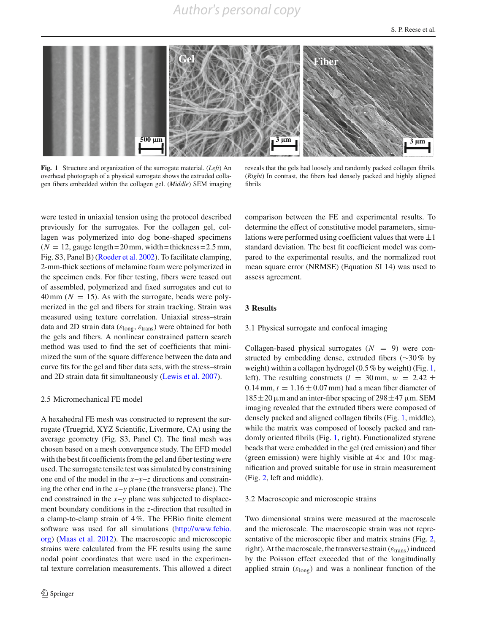

<span id="page-3-0"></span>**Fig. 1** Structure and organization of the surrogate material. (*Left*) An overhead photograph of a physical surrogate shows the extruded collagen fibers embedded within the collagen gel. (*Middle*) SEM imaging

reveals that the gels had loosely and randomly packed collagen fibrils. (*Right*) In contrast, the fibers had densely packed and highly aligned fibrils

were tested in uniaxial tension using the protocol described previously for the surrogates. For the collagen gel, collagen was polymerized into dog bone-shaped specimens  $(N = 12$ , gauge length = 20 mm, width = thickness = 2.5 mm, Fig. S3, Panel B) [\(Roeder et al. 2002](#page-9-16)). To facilitate clamping, 2-mm-thick sections of melamine foam were polymerized in the specimen ends. For fiber testing, fibers were teased out of assembled, polymerized and fixed surrogates and cut to  $40 \text{ mm}$  ( $N = 15$ ). As with the surrogate, beads were polymerized in the gel and fibers for strain tracking. Strain was measured using texture correlation. Uniaxial stress–strain data and 2D strain data ( $\varepsilon_{\text{long}}$ ,  $\varepsilon_{\text{trans}}$ ) were obtained for both the gels and fibers. A nonlinear constrained pattern search method was used to find the set of coefficients that minimized the sum of the square difference between the data and curve fits for the gel and fiber data sets, with the stress–strain and 2D strain data fit simultaneously [\(Lewis et al. 2007\)](#page-8-26).

## 2.5 Micromechanical FE model

A hexahedral FE mesh was constructed to represent the surrogate (Truegrid, XYZ Scientific, Livermore, CA) using the average geometry (Fig. S3, Panel C). The final mesh was chosen based on a mesh convergence study. The EFD model with the best fit coefficients from the gel and fiber testing were used. The surrogate tensile test was simulated by constraining one end of the model in the *x*–*y*–*z* directions and constraining the other end in the  $x-y$  plane (the transverse plane). The end constrained in the *x*–*y* plane was subjected to displacement boundary conditions in the *z*-direction that resulted in a clamp-to-clamp strain of 4%. The FEBio finite element software was used for all simulations [\(http://www.febio.](http://www.febio.org) [org\)](http://www.febio.org) [\(Maas et al. 2012\)](#page-8-27). The macroscopic and microscopic strains were calculated from the FE results using the same nodal point coordinates that were used in the experimental texture correlation measurements. This allowed a direct comparison between the FE and experimental results. To determine the effect of constitutive model parameters, simulations were performed using coefficient values that were  $\pm 1$ standard deviation. The best fit coefficient model was compared to the experimental results, and the normalized root mean square error (NRMSE) (Equation SI 14) was used to assess agreement.

## **3 Results**

#### 3.1 Physical surrogate and confocal imaging

Collagen-based physical surrogates  $(N = 9)$  were constructed by embedding dense, extruded fibers (∼30% by weight) within a collagen hydrogel (0.5% by weight) (Fig. [1,](#page-3-0) left). The resulting constructs ( $l = 30$  mm,  $w = 2.42 \pm$  $0.14$  mm,  $t = 1.16 \pm 0.07$  mm) had a mean fiber diameter of  $185 \pm 20$  µm and an inter-fiber spacing of  $298 \pm 47$  µm. SEM imaging revealed that the extruded fibers were composed of densely packed and aligned collagen fibrils (Fig. [1,](#page-3-0) middle), while the matrix was composed of loosely packed and randomly oriented fibrils (Fig. [1,](#page-3-0) right). Functionalized styrene beads that were embedded in the gel (red emission) and fiber (green emission) were highly visible at  $4 \times$  and  $10 \times$  magnification and proved suitable for use in strain measurement (Fig. [2,](#page-4-0) left and middle).

#### 3.2 Macroscopic and microscopic strains

Two dimensional strains were measured at the macroscale and the microscale. The macroscopic strain was not repre-sentative of the microscopic fiber and matrix strains (Fig. [2,](#page-4-0) right). At the macroscale, the transverse strain ( $\varepsilon$ <sub>trans</sub>) induced by the Poisson effect exceeded that of the longitudinally applied strain  $(\varepsilon_{\text{long}})$  and was a nonlinear function of the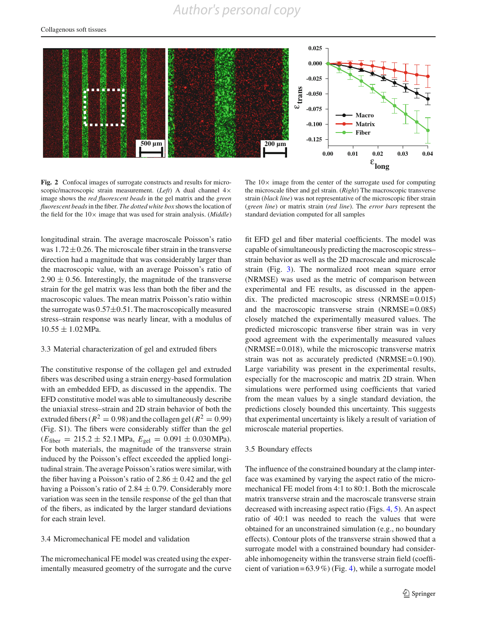# *Author's personal copy*



<span id="page-4-0"></span>**Fig. 2** Confocal images of surrogate constructs and results for microscopic/macroscopic strain measurement. (*Left*) A dual channel 4× image shows the *red fluorescent beads* in the gel matrix and the *green fluorescent beads*in the fiber. *The dotted white box* shows the location of the field for the  $10\times$  image that was used for strain analysis. (*Middle*)

The  $10\times$  image from the center of the surrogate used for computing the microscale fiber and gel strain. (*Right*) The macroscopic transverse strain (*black line*) was not representative of the microscopic fiber strain (*green line*) or matrix strain (*red line*). The *error bars* represent the standard deviation computed for all samples

longitudinal strain. The average macroscale Poisson's ratio was  $1.72 \pm 0.26$ . The microscale fiber strain in the transverse direction had a magnitude that was considerably larger than the macroscopic value, with an average Poisson's ratio of  $2.90 \pm 0.56$ . Interestingly, the magnitude of the transverse strain for the gel matrix was less than both the fiber and the macroscopic values. The mean matrix Poisson's ratio within the surrogate was  $0.57\pm0.51$ . The macroscopically measured stress–strain response was nearly linear, with a modulus of  $10.55 \pm 1.02$  MPa.

## 3.3 Material characterization of gel and extruded fibers

The constitutive response of the collagen gel and extruded fibers was described using a strain energy-based formulation with an embedded EFD, as discussed in the appendix. The EFD constitutive model was able to simultaneously describe the uniaxial stress–strain and 2D strain behavior of both the extruded fibers ( $R^2 = 0.98$ ) and the collagen gel ( $R^2 = 0.99$ ) (Fig. S1). The fibers were considerably stiffer than the gel  $(E_{\text{fiber}} = 215.2 \pm 52.1 \text{ MPa}, E_{\text{gel}} = 0.091 \pm 0.030 \text{ MPa}.$ For both materials, the magnitude of the transverse strain induced by the Poisson's effect exceeded the applied longitudinal strain. The average Poisson's ratios were similar, with the fiber having a Poisson's ratio of  $2.86 \pm 0.42$  and the gel having a Poisson's ratio of  $2.84 \pm 0.79$ . Considerably more variation was seen in the tensile response of the gel than that of the fibers, as indicated by the larger standard deviations for each strain level.

# 3.4 Micromechanical FE model and validation

The micromechanical FE model was created using the experimentally measured geometry of the surrogate and the curve fit EFD gel and fiber material coefficients. The model was capable of simultaneously predicting the macroscopic stress– strain behavior as well as the 2D macroscale and microscale strain (Fig. [3\)](#page-5-0). The normalized root mean square error (NRMSE) was used as the metric of comparison between experimental and FE results, as discussed in the appendix. The predicted macroscopic stress  $(NRMSE = 0.015)$ and the macroscopic transverse strain  $(NRMSE = 0.085)$ closely matched the experimentally measured values. The predicted microscopic transverse fiber strain was in very good agreement with the experimentally measured values  $(NRMSE = 0.018)$ , while the microscopic transverse matrix strain was not as accurately predicted  $(NRMSE = 0.190)$ . Large variability was present in the experimental results, especially for the macroscopic and matrix 2D strain. When simulations were performed using coefficients that varied from the mean values by a single standard deviation, the predictions closely bounded this uncertainty. This suggests that experimental uncertainty is likely a result of variation of microscale material properties.

# 3.5 Boundary effects

The influence of the constrained boundary at the clamp interface was examined by varying the aspect ratio of the micromechanical FE model from 4:1 to 80:1. Both the microscale matrix transverse strain and the macroscale transverse strain decreased with increasing aspect ratio (Figs. [4,](#page-6-0) [5\)](#page-6-1). An aspect ratio of 40:1 was needed to reach the values that were obtained for an unconstrained simulation (e.g., no boundary effects). Contour plots of the transverse strain showed that a surrogate model with a constrained boundary had considerable inhomogeneity within the transverse strain field (coefficient of variation =  $63.9\%$ ) (Fig. [4\)](#page-6-0), while a surrogate model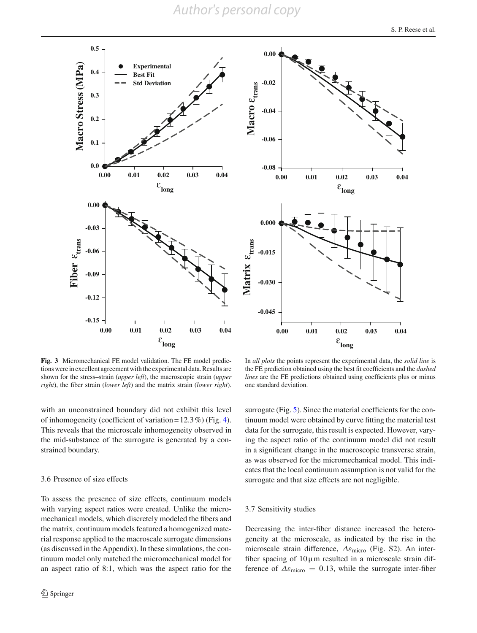*Author's personal copy*





<span id="page-5-0"></span>**Fig. 3** Micromechanical FE model validation. The FE model predictions were in excellent agreement with the experimental data. Results are shown for the stress–strain (*upper left*), the macroscopic strain (*upper right*), the fiber strain (*lower left*) and the matrix strain (*lower right*).

In *all plots* the points represent the experimental data, the *solid line* is the FE prediction obtained using the best fit coefficients and the *dashed lines* are the FE predictions obtained using coefficients plus or minus one standard deviation.

with an unconstrained boundary did not exhibit this level of inhomogeneity (coefficient of variation =  $12.3\%$ ) (Fig. [4\)](#page-6-0). This reveals that the microscale inhomogeneity observed in the mid-substance of the surrogate is generated by a constrained boundary.

## 3.6 Presence of size effects

To assess the presence of size effects, continuum models with varying aspect ratios were created. Unlike the micromechanical models, which discretely modeled the fibers and the matrix, continuum models featured a homogenized material response applied to the macroscale surrogate dimensions (as discussed in the Appendix). In these simulations, the continuum model only matched the micromechanical model for an aspect ratio of 8:1, which was the aspect ratio for the surrogate (Fig. [5\)](#page-6-1). Since the material coefficients for the continuum model were obtained by curve fitting the material test data for the surrogate, this result is expected. However, varying the aspect ratio of the continuum model did not result in a significant change in the macroscopic transverse strain, as was observed for the micromechanical model. This indicates that the local continuum assumption is not valid for the surrogate and that size effects are not negligible.

#### 3.7 Sensitivity studies

Decreasing the inter-fiber distance increased the heterogeneity at the microscale, as indicated by the rise in the microscale strain difference,  $\Delta \varepsilon$ <sub>micro</sub> (Fig. S2). An interfiber spacing of  $10 \mu m$  resulted in a microscale strain difference of  $\Delta \varepsilon_{\text{micro}} = 0.13$ , while the surrogate inter-fiber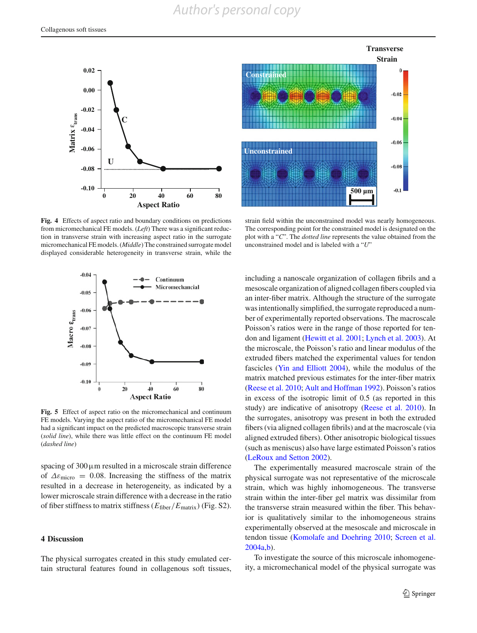



<span id="page-6-0"></span>**Fig. 4** Effects of aspect ratio and boundary conditions on predictions from micromechanical FE models. (*Left*) There was a significant reduction in transverse strain with increasing aspect ratio in the surrogate micromechanical FE models. (*Middle*) The constrained surrogate model displayed considerable heterogeneity in transverse strain, while the



<span id="page-6-1"></span>**Fig. 5** Effect of aspect ratio on the micromechanical and continuum FE models. Varying the aspect ratio of the micromechanical FE model had a significant impact on the predicted macroscopic transverse strain (*solid line*), while there was little effect on the continuum FE model (*dashed line*)

spacing of  $300 \mu$ m resulted in a microscale strain difference of  $\Delta \varepsilon_{micro} = 0.08$ . Increasing the stiffness of the matrix resulted in a decrease in heterogeneity, as indicated by a lower microscale strain difference with a decrease in the ratio of fiber stiffness to matrix stiffness (*E*fiber/*E*matrix) (Fig. S2).

# **4 Discussion**

The physical surrogates created in this study emulated certain structural features found in collagenous soft tissues,

strain field within the unconstrained model was nearly homogeneous. The corresponding point for the constrained model is designated on the plot with a "*C*". The *dotted line* represents the value obtained from the unconstrained model and is labeled with a "*U*"

including a nanoscale organization of collagen fibrils and a mesoscale organization of aligned collagen fibers coupled via an inter-fiber matrix. Although the structure of the surrogate was intentionally simplified, the surrogate reproduced a number of experimentally reported observations. The macroscale Poisson's ratios were in the range of those reported for tendon and ligament [\(Hewitt et al. 2001;](#page-8-14) [Lynch et al. 2003](#page-8-28)). At the microscale, the Poisson's ratio and linear modulus of the extruded fibers matched the experimental values for tendon fascicles [\(Yin and Elliott 2004\)](#page-9-17), while the modulus of the matrix matched previous estimates for the inter-fiber matrix [\(Reese et al. 2010](#page-9-18); [Ault and Hoffman 1992\)](#page-8-29). Poisson's ratios in excess of the isotropic limit of 0.5 (as reported in this study) are indicative of anisotropy [\(Reese et al. 2010](#page-9-18)). In the surrogates, anisotropy was present in both the extruded fibers (via aligned collagen fibrils) and at the macroscale (via aligned extruded fibers). Other anisotropic biological tissues (such as meniscus) also have large estimated Poisson's ratios [\(LeRoux and Setton 2002\)](#page-8-30).

The experimentally measured macroscale strain of the physical surrogate was not representative of the microscale strain, which was highly inhomogeneous. The transverse strain within the inter-fiber gel matrix was dissimilar from the transverse strain measured within the fiber. This behavior is qualitatively similar to the inhomogeneous strains experimentally observed at the mesoscale and microscale in tendon tissue [\(Komolafe and Doehring 2010](#page-8-7); [Screen et al.](#page-9-5) [2004a](#page-9-5)[,b\)](#page-9-19).

To investigate the source of this microscale inhomogeneity, a micromechanical model of the physical surrogate was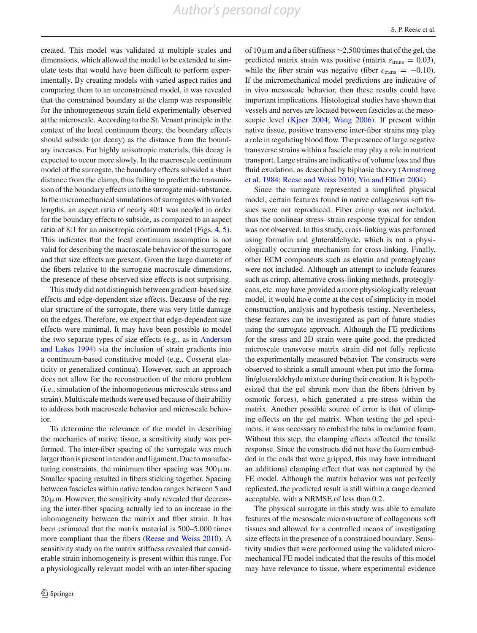created. This model was validated at multiple scales and dimensions, which allowed the model to be extended to simulate tests that would have been difficult to perform experimentally. By creating models with varied aspect ratios and comparing them to an unconstrained model, it was revealed that the constrained boundary at the clamp was responsible for the inhomogeneous strain field experimentally observed at the microscale. According to the St. Venant principle in the context of the local continuum theory, the boundary effects should subside (or decay) as the distance from the boundary increases. For highly anisotropic materials, this decay is expected to occur more slowly. In the macroscale continuum model of the surrogate, the boundary effects subsided a short distance from the clamp, thus failing to predict the transmission of the boundary effects into the surrogate mid-substance. In the micromechanical simulations of surrogates with varied lengths, an aspect ratio of nearly 40:1 was needed in order for the boundary effects to subside, as compared to an aspect ratio of 8:1 for an anisotropic continuum model (Figs. [4,](#page-6-0) [5\)](#page-6-1). This indicates that the local continuum assumption is not valid for describing the macroscale behavior of the surrogate and that size effects are present. Given the large diameter of the fibers relative to the surrogate macroscale dimensions, the presence of these observed size effects is not surprising.

This study did not distinguish between gradient-based size effects and edge-dependent size effects. Because of the regular structure of the surrogate, there was very little damage on the edges. Therefore, we expect that edge-dependent size effects were minimal. It may have been possible to model the two se[parate](#page-8-17) [types](#page-8-17) [of](#page-8-17) [size](#page-8-17) [effects](#page-8-17) [\(e.g.,](#page-8-17) [as](#page-8-17) [in](#page-8-17) Anderson and Lakes [1994](#page-8-17)) via the inclusion of strain gradients into a continuum-based constitutive model (e.g., Cosserat elasticity or generalized continua). However, such an approach does not allow for the reconstruction of the micro problem (i.e., simulation of the inhomogeneous microscale stress and strain). Multiscale methods were used because of their ability to address both macroscale behavior and microscale behavior.

To determine the relevance of the model in describing the mechanics of native tissue, a sensitivity study was performed. The inter-fiber spacing of the surrogate was much larger than is present in tendon and ligament. Due to manufacturing constraints, the minimum fiber spacing was  $300 \mu$ m. Smaller spacing resulted in fibers sticking together. Spacing between fascicles within native tendon ranges between 5 and  $20 \mu$ m. However, the sensitivity study revealed that decreasing the inter-fiber spacing actually led to an increase in the inhomogeneity between the matrix and fiber strain. It has been estimated that the matrix material is 500–5,000 times more compliant than the fibers [\(Reese and Weiss 2010\)](#page-9-20). A sensitivity study on the matrix stiffness revealed that considerable strain inhomogeneity is present within this range. For a physiologically relevant model with an inter-fiber spacing of 10µm and a fiber stiffness ∼2,500 times that of the gel, the predicted matrix strain was positive (matrix  $\varepsilon_{trans} = 0.03$ ), while the fiber strain was negative (fiber  $\varepsilon_{trans} = -0.10$ ). If the micromechanical model predictions are indicative of in vivo mesoscale behavior, then these results could have important implications. Histological studies have shown that vessels and nerves are located between fascicles at the mesoscopic level [\(Kjaer 2004](#page-8-31); [Wang 2006](#page-9-4)). If present within native tissue, positive transverse inter-fiber strains may play a role in regulating blood flow. The presence of large negative transverse strains within a fascicle may play a role in nutrient transport. Large strains are indicative of volume loss and thus fluid [exudation,](#page-8-32) [as](#page-8-32) [described](#page-8-32) [by](#page-8-32) [biphasic](#page-8-32) [theory](#page-8-32) [\(](#page-8-32)Armstrong et al. [1984;](#page-8-32) [Reese and Weiss 2010](#page-9-20); [Yin and Elliott 2004\)](#page-9-17).

Since the surrogate represented a simplified physical model, certain features found in native collagenous soft tissues were not reproduced. Fiber crimp was not included, thus the nonlinear stress–strain response typical for tendon was not observed. In this study, cross-linking was performed using formalin and gluteraldehyde, which is not a physiologically occurring mechanism for cross-linking. Finally, other ECM components such as elastin and proteoglycans were not included. Although an attempt to include features such as crimp, alternative cross-linking methods, proteoglycans, etc. may have provided a more physiologically relevant model, it would have come at the cost of simplicity in model construction, analysis and hypothesis testing. Nevertheless, these features can be investigated as part of future studies using the surrogate approach. Although the FE predictions for the stress and 2D strain were quite good, the predicted microscale transverse matrix strain did not fully replicate the experimentally measured behavior. The constructs were observed to shrink a small amount when put into the formalin/gluteraldehyde mixture during their creation. It is hypothesized that the gel shrunk more than the fibers (driven by osmotic forces), which generated a pre-stress within the matrix. Another possible source of error is that of clamping effects on the gel matrix. When testing the gel specimens, it was necessary to embed the tabs in melamine foam. Without this step, the clamping effects affected the tensile response. Since the constructs did not have the foam embedded in the ends that were gripped, this may have introduced an additional clamping effect that was not captured by the FE model. Although the matrix behavior was not perfectly replicated, the predicted result is still within a range deemed acceptable, with a NRMSE of less than 0.2.

The physical surrogate in this study was able to emulate features of the mesoscale microstructure of collagenous soft tissues and allowed for a controlled means of investigating size effects in the presence of a constrained boundary. Sensitivity studies that were performed using the validated micromechanical FE model indicated that the results of this model may have relevance to tissue, where experimental evidence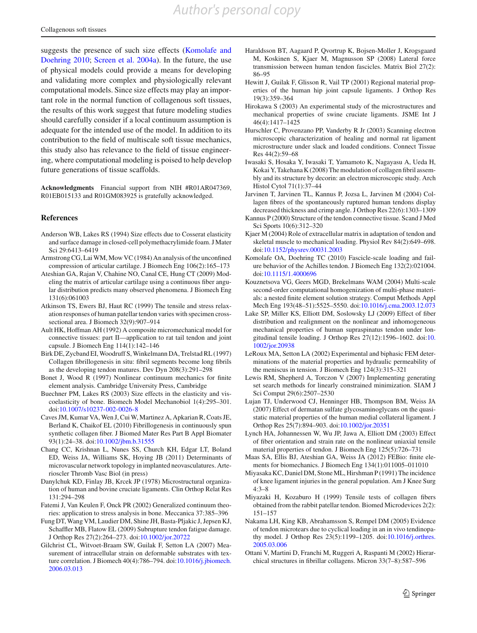suggests [the](#page-8-7) [presence](#page-8-7) [of](#page-8-7) [such](#page-8-7) [size](#page-8-7) [effects](#page-8-7) [\(](#page-8-7)Komolafe and Doehring [2010;](#page-8-7) [Screen et al. 2004a](#page-9-5)). In the future, the use of physical models could provide a means for developing and validating more complex and physiologically relevant computational models. Since size effects may play an important role in the normal function of collagenous soft tissues, the results of this work suggest that future modeling studies should carefully consider if a local continuum assumption is adequate for the intended use of the model. In addition to its contribution to the field of multiscale soft tissue mechanics, this study also has relevance to the field of tissue engineering, where computational modeling is poised to help develop future generations of tissue scaffolds.

**Acknowledgments** Financial support from NIH #R01AR047369, R01EB015133 and R01GM083925 is gratefully acknowledged.

### **References**

- <span id="page-8-17"></span>Anderson WB, Lakes RS (1994) Size effects due to Cosserat elasticity and surface damage in closed-cell polymethacrylimide foam. J Mater Sci 29:6413–6419
- <span id="page-8-32"></span>Armstrong CG, LaiWM, Mow VC (1984) An analysis of the unconfined compression of articular cartilage. J Biomech Eng 106(2):165–173
- <span id="page-8-25"></span>Ateshian GA, Rajan V, Chahine NO, Canal CE, Hung CT (2009) Modeling the matrix of articular cartilage using a continuous fiber angular distribution predicts many observed phenomena. J Biomech Eng 131(6):061003
- <span id="page-8-10"></span>Atkinson TS, Ewers BJ, Haut RC (1999) The tensile and stress relaxation responses of human patellar tendon varies with specimen crosssectional area. J Biomech 32(9):907–914
- <span id="page-8-29"></span>Ault HK, Hoffman AH (1992) A composite micromechanical model for connective tissues: part II—application to rat tail tendon and joint capsule. J Biomech Eng 114(1):142–146
- <span id="page-8-2"></span>Birk DE, Zycband EI,Woodruff S,Winkelmann DA, Trelstad RL (1997) Collagen fibrillogenesis in situ: fibril segments become long fibrils as the developing tendon matures. Dev Dyn 208(3):291–298
- <span id="page-8-24"></span>Bonet J, Wood R (1997) Nonlinear continuum mechanics for finite element analysis. Cambridge University Press, Cambridge
- <span id="page-8-19"></span>Buechner PM, Lakes RS (2003) Size effects in the elasticity and viscoelasticity of bone. Biomech Model Mechanobiol 1(4):295–301. doi[:10.1007/s10237-002-0026-8](http://dx.doi.org/10.1007/s10237-002-0026-8)
- <span id="page-8-20"></span>Caves JM, Kumar VA, Wen J, Cui W, Martinez A, Apkarian R, Coats JE, Berland K, Chaikof EL (2010) Fibrillogenesis in continuously spun synthetic collagen fiber. J Biomed Mater Res Part B Appl Biomater 93(1):24–38. doi[:10.1002/jbm.b.31555](http://dx.doi.org/10.1002/jbm.b.31555)
- Chang CC, Krishnan L, Nunes SS, Church KH, Edgar LT, Boland ED, Weiss JA, Williams SK, Hoying JB (2011) Determinants of microvascular network topology in implanted neovasculatures. Arterioscler Thromb Vasc Biol (in press)
- <span id="page-8-4"></span>Danylchuk KD, Finlay JB, Krcek JP (1978) Microstructural organization of human and bovine cruciate ligaments. Clin Orthop Relat Res 131:294–298
- <span id="page-8-16"></span>Fatemi J, Van Keulen F, Onck PR (2002) Generalized continuum theories: application to stress analysis in bone. Meccanica 37:385–396
- <span id="page-8-8"></span>Fung DT, Wang VM, Laudier DM, Shine JH, Basta-Pljakic J, Jepsen KJ, Schaffler MB, Flatow EL (2009) Subrupture tendon fatigue damage. J Orthop Res 27(2):264–273. doi[:10.1002/jor.20722](http://dx.doi.org/10.1002/jor.20722)
- <span id="page-8-23"></span>Gilchrist CL, Witvoet-Braam SW, Guilak F, Setton LA (2007) Measurement of intracellular strain on deformable substrates with texture correlation. J Biomech 40(4):786–794. doi[:10.1016/j.jbiomech.](http://dx.doi.org/10.1016/j.jbiomech.2006.03.013) [2006.03.013](http://dx.doi.org/10.1016/j.jbiomech.2006.03.013)
- <span id="page-8-6"></span>Haraldsson BT, Aagaard P, Qvortrup K, Bojsen-Moller J, Krogsgaard M, Koskinen S, Kjaer M, Magnusson SP (2008) Lateral force transmission between human tendon fascicles. Matrix Biol 27(2): 86–95
- <span id="page-8-14"></span>Hewitt J, Guilak F, Glisson R, Vail TP (2001) Regional material properties of the human hip joint capsule ligaments. J Orthop Res 19(3):359–364
- <span id="page-8-11"></span>Hirokawa S (2003) An experimental study of the microstructures and mechanical properties of swine cruciate ligaments. JSME Int J 46(4):1417–1425
- <span id="page-8-5"></span>Hurschler C, Provenzano PP, Vanderby R Jr (2003) Scanning electron microscopic characterization of healing and normal rat ligament microstructure under slack and loaded conditions. Connect Tissue Res 44(2):59–68
- <span id="page-8-21"></span>Iwasaki S, Hosaka Y, Iwasaki T, Yamamoto K, Nagayasu A, Ueda H, Kokai Y, Takehana K (2008) The modulation of collagen fibril assembly and its structure by decorin: an electron microscopic study. Arch Histol Cytol 71(1):37–44
- <span id="page-8-3"></span>Jarvinen T, Jarvinen TL, Kannus P, Jozsa L, Jarvinen M (2004) Collagen fibres of the spontaneously ruptured human tendons display decreased thickness and crimp angle. J Orthop Res 22(6):1303–1309
- <span id="page-8-1"></span>Kannus P (2000) Structure of the tendon connective tissue. Scand J Med Sci Sports 10(6):312–320
- <span id="page-8-31"></span>Kjaer M (2004) Role of extracellular matrix in adaptation of tendon and skeletal muscle to mechanical loading. Physiol Rev 84(2):649–698. doi[:10.1152/physrev.00031.2003](http://dx.doi.org/10.1152/physrev.00031.2003)
- <span id="page-8-7"></span>Komolafe OA, Doehring TC (2010) Fascicle-scale loading and failure behavior of the Achilles tendon. J Biomech Eng 132(2):021004. doi[:10.1115/1.4000696](http://dx.doi.org/10.1115/1.4000696)
- <span id="page-8-18"></span>Kouznetsova VG, Geers MGD, Brekelmans WAM (2004) Multi-scale second-order computational homogenization of multi-phase materials: a nested finite element solution strategy. Comput Methods Appl Mech Eng 193(48–51):5525–5550. doi[:10.1016/j.cma.2003.12.073](http://dx.doi.org/10.1016/j.cma.2003.12.073)
- <span id="page-8-15"></span>Lake SP, Miller KS, Elliott DM, Soslowsky LJ (2009) Effect of fiber distribution and realignment on the nonlinear and inhomogeneous mechanical properties of human supraspinatus tendon under longitudinal tensile loading. J Orthop Res 27(12):1596–1602. doi[:10.](http://dx.doi.org/10.1002/jor.20938) [1002/jor.20938](http://dx.doi.org/10.1002/jor.20938)
- <span id="page-8-30"></span>LeRoux MA, Setton LA (2002) Experimental and biphasic FEM determinations of the material properties and hydraulic permeability of the meniscus in tension. J Biomech Eng 124(3):315–321
- <span id="page-8-26"></span>Lewis RM, Shepherd A, Torczon V (2007) Implementing generating set search methods for linearly constrained minimization. SIAM J Sci Comput 29(6):2507–2530
- <span id="page-8-22"></span>Lujan TJ, Underwood CJ, Henninger HB, Thompson BM, Weiss JA (2007) Effect of dermatan sulfate glycosaminoglycans on the quasistatic material properties of the human medial collateral ligament. J Orthop Res 25(7):894–903. doi[:10.1002/jor.20351](http://dx.doi.org/10.1002/jor.20351)
- <span id="page-8-28"></span>Lynch HA, Johannessen W, Wu JP, Jawa A, Elliott DM (2003) Effect of fiber orientation and strain rate on the nonlinear uniaxial tensile material properties of tendon. J Biomech Eng 125(5):726–731
- <span id="page-8-27"></span>Maas SA, Ellis BJ, Ateshian GA, Weiss JA (2012) FEBio: finite elements for biomechanics. J Biomech Eng 134(1):011005–011010
- <span id="page-8-13"></span>Miyasaka KC, Daniel DM, Stone ML, Hirshman P (1991) The incidence of knee ligament injuries in the general population. Am J Knee Surg 4:3–8
- <span id="page-8-12"></span>Miyazaki H, Kozaburo H (1999) Tensile tests of collagen fibers obtained from the rabbit patellar tendon. Biomed Microdevices 2(2): 151–157
- <span id="page-8-9"></span>Nakama LH, King KB, Abrahamsson S, Rempel DM (2005) Evidence of tendon microtears due to cyclical loading in an in vivo tendinopathy model. J Orthop Res 23(5):1199–1205. doi[:10.1016/j.orthres.](http://dx.doi.org/10.1016/j.orthres.2005.03.006) [2005.03.006](http://dx.doi.org/10.1016/j.orthres.2005.03.006)
- <span id="page-8-0"></span>Ottani V, Martini D, Franchi M, Ruggeri A, Raspanti M (2002) Hierarchical structures in fibrillar collagens. Micron 33(7–8):587–596